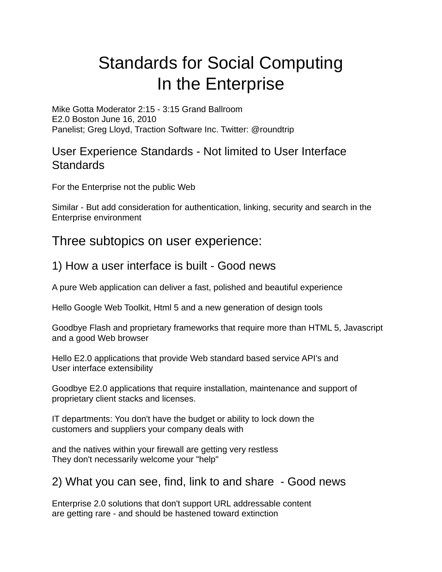# Standards for Social Computing In the Enterprise

Mike Gotta Moderator 2:15 - 3:15 Grand Ballroom E2.0 Boston June 16, 2010 Panelist; Greg Lloyd, Traction Software Inc. Twitter: @roundtrip

### User Experience Standards - Not limited to User Interface **Standards**

For the Enterprise not the public Web

Similar - But add consideration for authentication, linking, security and search in the Enterprise environment

## Three subtopics on user experience:

## 1) How a user interface is built - Good news

A pure Web application can deliver a fast, polished and beautiful experience

Hello Google Web Toolkit, Html 5 and a new generation of design tools

Goodbye Flash and proprietary frameworks that require more than HTML 5, Javascript and a good Web browser

Hello E2.0 applications that provide Web standard based service API's and User interface extensibility

Goodbye E2.0 applications that require installation, maintenance and support of proprietary client stacks and licenses.

IT departments: You don't have the budget or ability to lock down the customers and suppliers your company deals with

and the natives within your firewall are getting very restless They don't necessarily welcome your "help"

2) What you can see, find, link to and share - Good news

Enterprise 2.0 solutions that don't support URL addressable content are getting rare - and should be hastened toward extinction